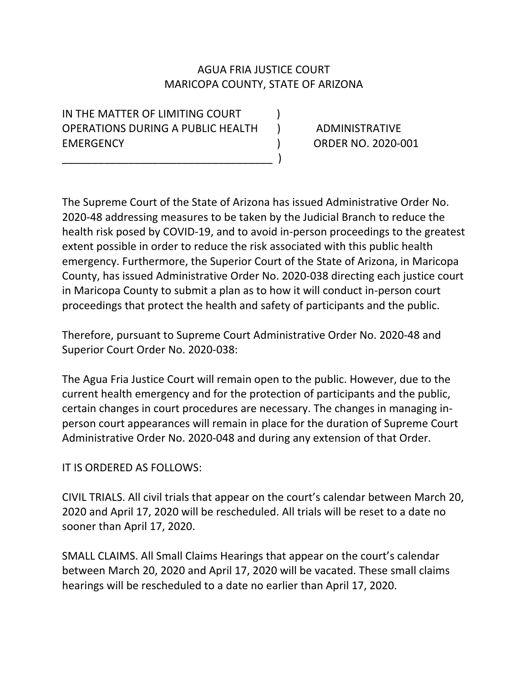## AGUA FRIA JUSTICE COURT MARICOPA COUNTY, STATE OF ARIZONA

IN THE MATTER OF LIMITING COURT  $\qquad$ OPERATIONS DURING A PUBLIC HEALTH ) ADMINISTRATIVE EMERGENCY ) ORDER NO. 2020-001

\_\_\_\_\_\_\_\_\_\_\_\_\_\_\_\_\_\_\_\_\_\_\_\_\_\_\_\_\_\_\_\_\_\_\_ )

The Supreme Court of the State of Arizona has issued Administrative Order No. 2020-48 addressing measures to be taken by the Judicial Branch to reduce the health risk posed by COVID-19, and to avoid in-person proceedings to the greatest extent possible in order to reduce the risk associated with this public health emergency. Furthermore, the Superior Court of the State of Arizona, in Maricopa County, has issued Administrative Order No. 2020-038 directing each justice court in Maricopa County to submit a plan as to how it will conduct in-person court proceedings that protect the health and safety of participants and the public.

Therefore, pursuant to Supreme Court Administrative Order No. 2020-48 and Superior Court Order No. 2020-038:

The Agua Fria Justice Court will remain open to the public. However, due to the current health emergency and for the protection of participants and the public, certain changes in court procedures are necessary. The changes in managing inperson court appearances will remain in place for the duration of Supreme Court Administrative Order No. 2020-048 and during any extension of that Order.

IT IS ORDERED AS FOLLOWS:

CIVIL TRIALS. All civil trials that appear on the court's calendar between March 20, 2020 and April 17, 2020 will be rescheduled. All trials will be reset to a date no sooner than April 17, 2020.

SMALL CLAIMS. All Small Claims Hearings that appear on the court's calendar between March 20, 2020 and April 17, 2020 will be vacated. These small claims hearings will be rescheduled to a date no earlier than April 17, 2020.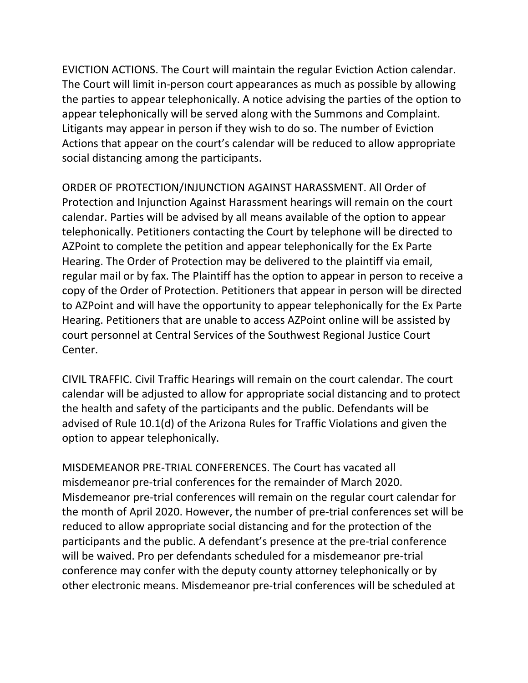EVICTION ACTIONS. The Court will maintain the regular Eviction Action calendar. The Court will limit in-person court appearances as much as possible by allowing the parties to appear telephonically. A notice advising the parties of the option to appear telephonically will be served along with the Summons and Complaint. Litigants may appear in person if they wish to do so. The number of Eviction Actions that appear on the court's calendar will be reduced to allow appropriate social distancing among the participants.

ORDER OF PROTECTION/INJUNCTION AGAINST HARASSMENT. All Order of Protection and Injunction Against Harassment hearings will remain on the court calendar. Parties will be advised by all means available of the option to appear telephonically. Petitioners contacting the Court by telephone will be directed to AZPoint to complete the petition and appear telephonically for the Ex Parte Hearing. The Order of Protection may be delivered to the plaintiff via email, regular mail or by fax. The Plaintiff has the option to appear in person to receive a copy of the Order of Protection. Petitioners that appear in person will be directed to AZPoint and will have the opportunity to appear telephonically for the Ex Parte Hearing. Petitioners that are unable to access AZPoint online will be assisted by court personnel at Central Services of the Southwest Regional Justice Court Center.

CIVIL TRAFFIC. Civil Traffic Hearings will remain on the court calendar. The court calendar will be adjusted to allow for appropriate social distancing and to protect the health and safety of the participants and the public. Defendants will be advised of Rule 10.1(d) of the Arizona Rules for Traffic Violations and given the option to appear telephonically.

MISDEMEANOR PRE-TRIAL CONFERENCES. The Court has vacated all misdemeanor pre-trial conferences for the remainder of March 2020. Misdemeanor pre-trial conferences will remain on the regular court calendar for the month of April 2020. However, the number of pre-trial conferences set will be reduced to allow appropriate social distancing and for the protection of the participants and the public. A defendant's presence at the pre-trial conference will be waived. Pro per defendants scheduled for a misdemeanor pre-trial conference may confer with the deputy county attorney telephonically or by other electronic means. Misdemeanor pre-trial conferences will be scheduled at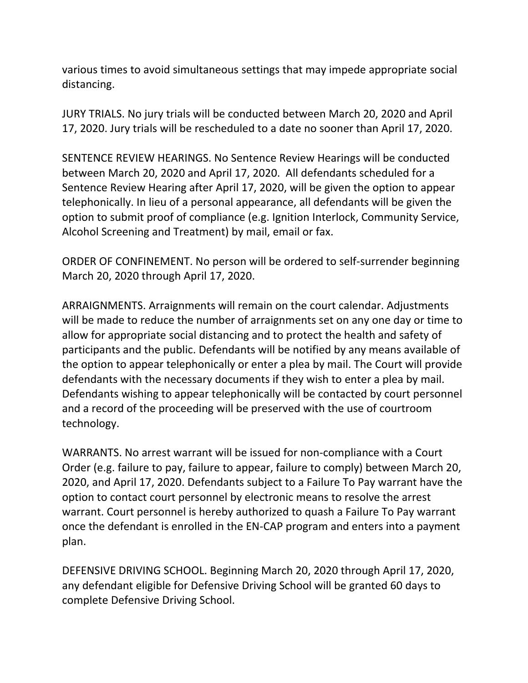various times to avoid simultaneous settings that may impede appropriate social distancing.

JURY TRIALS. No jury trials will be conducted between March 20, 2020 and April 17, 2020. Jury trials will be rescheduled to a date no sooner than April 17, 2020.

SENTENCE REVIEW HEARINGS. No Sentence Review Hearings will be conducted between March 20, 2020 and April 17, 2020. All defendants scheduled for a Sentence Review Hearing after April 17, 2020, will be given the option to appear telephonically. In lieu of a personal appearance, all defendants will be given the option to submit proof of compliance (e.g. Ignition Interlock, Community Service, Alcohol Screening and Treatment) by mail, email or fax.

ORDER OF CONFINEMENT. No person will be ordered to self-surrender beginning March 20, 2020 through April 17, 2020.

ARRAIGNMENTS. Arraignments will remain on the court calendar. Adjustments will be made to reduce the number of arraignments set on any one day or time to allow for appropriate social distancing and to protect the health and safety of participants and the public. Defendants will be notified by any means available of the option to appear telephonically or enter a plea by mail. The Court will provide defendants with the necessary documents if they wish to enter a plea by mail. Defendants wishing to appear telephonically will be contacted by court personnel and a record of the proceeding will be preserved with the use of courtroom technology.

WARRANTS. No arrest warrant will be issued for non-compliance with a Court Order (e.g. failure to pay, failure to appear, failure to comply) between March 20, 2020, and April 17, 2020. Defendants subject to a Failure To Pay warrant have the option to contact court personnel by electronic means to resolve the arrest warrant. Court personnel is hereby authorized to quash a Failure To Pay warrant once the defendant is enrolled in the EN-CAP program and enters into a payment plan.

DEFENSIVE DRIVING SCHOOL. Beginning March 20, 2020 through April 17, 2020, any defendant eligible for Defensive Driving School will be granted 60 days to complete Defensive Driving School.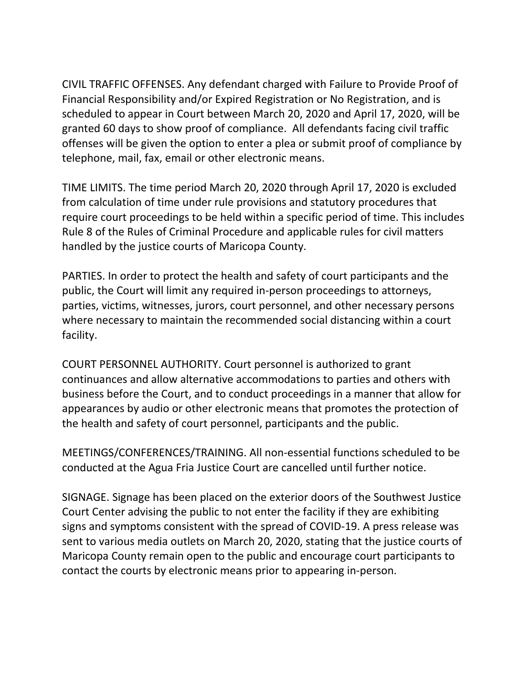CIVIL TRAFFIC OFFENSES. Any defendant charged with Failure to Provide Proof of Financial Responsibility and/or Expired Registration or No Registration, and is scheduled to appear in Court between March 20, 2020 and April 17, 2020, will be granted 60 days to show proof of compliance. All defendants facing civil traffic offenses will be given the option to enter a plea or submit proof of compliance by telephone, mail, fax, email or other electronic means.

TIME LIMITS. The time period March 20, 2020 through April 17, 2020 is excluded from calculation of time under rule provisions and statutory procedures that require court proceedings to be held within a specific period of time. This includes Rule 8 of the Rules of Criminal Procedure and applicable rules for civil matters handled by the justice courts of Maricopa County.

PARTIES. In order to protect the health and safety of court participants and the public, the Court will limit any required in-person proceedings to attorneys, parties, victims, witnesses, jurors, court personnel, and other necessary persons where necessary to maintain the recommended social distancing within a court facility.

COURT PERSONNEL AUTHORITY. Court personnel is authorized to grant continuances and allow alternative accommodations to parties and others with business before the Court, and to conduct proceedings in a manner that allow for appearances by audio or other electronic means that promotes the protection of the health and safety of court personnel, participants and the public.

MEETINGS/CONFERENCES/TRAINING. All non-essential functions scheduled to be conducted at the Agua Fria Justice Court are cancelled until further notice.

SIGNAGE. Signage has been placed on the exterior doors of the Southwest Justice Court Center advising the public to not enter the facility if they are exhibiting signs and symptoms consistent with the spread of COVID-19. A press release was sent to various media outlets on March 20, 2020, stating that the justice courts of Maricopa County remain open to the public and encourage court participants to contact the courts by electronic means prior to appearing in-person.